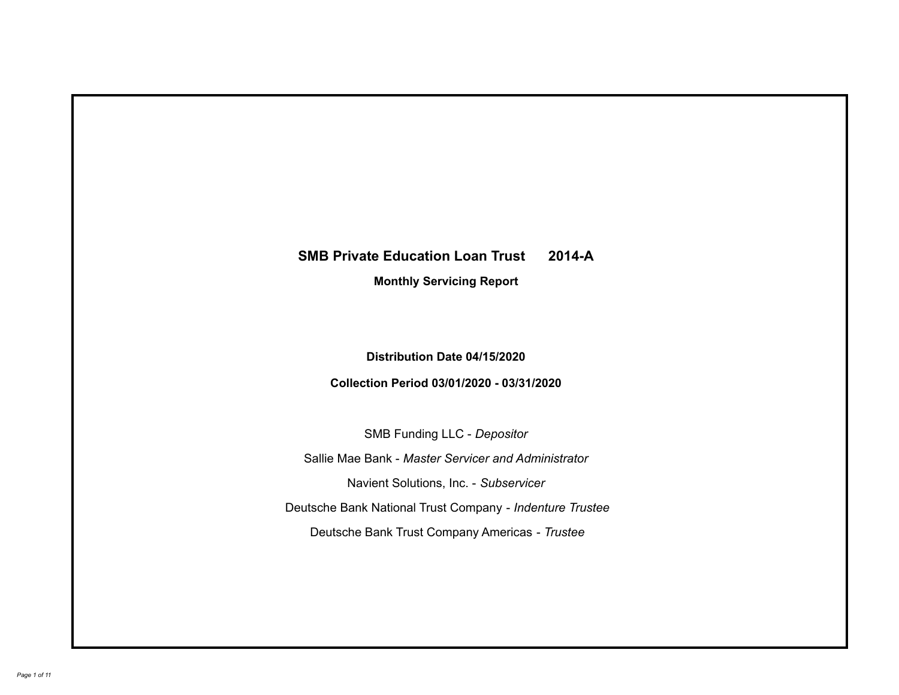# **SMB Private Education Loan Trust 2014-A Monthly Servicing Report**

# **Distribution Date 04/15/2020**

# **Collection Period 03/01/2020 - 03/31/2020**

SMB Funding LLC - *Depositor*

Sallie Mae Bank - *Master Servicer and Administrator*

Navient Solutions, Inc. - *Subservicer*

Deutsche Bank National Trust Company - *Indenture Trustee*

Deutsche Bank Trust Company Americas - *Trustee*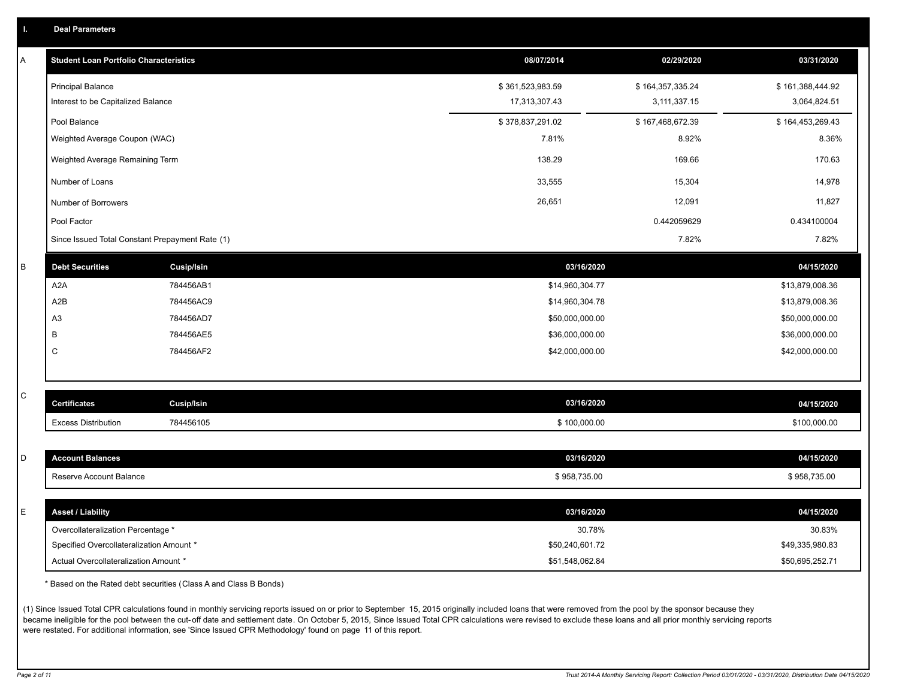| <b>Student Loan Portfolio Characteristics</b> |                                                 | 08/07/2014       | 02/29/2020       | 03/31/2020       |
|-----------------------------------------------|-------------------------------------------------|------------------|------------------|------------------|
| <b>Principal Balance</b>                      |                                                 | \$361,523,983.59 | \$164,357,335.24 | \$161,388,444.92 |
| Interest to be Capitalized Balance            |                                                 | 17,313,307.43    | 3,111,337.15     | 3,064,824.51     |
| Pool Balance                                  |                                                 | \$378,837,291.02 | \$167,468,672.39 | \$164,453,269.43 |
| Weighted Average Coupon (WAC)                 |                                                 | 7.81%            | 8.92%            | 8.36%            |
| Weighted Average Remaining Term               |                                                 | 138.29           | 169.66           | 170.63           |
| Number of Loans                               |                                                 | 33,555           | 15,304           | 14,978           |
| Number of Borrowers                           |                                                 | 26,651           | 12,091           | 11,827           |
| Pool Factor                                   |                                                 |                  | 0.442059629      | 0.434100004      |
|                                               | Since Issued Total Constant Prepayment Rate (1) |                  | 7.82%            | 7.82%            |
| <b>Debt Securities</b>                        | <b>Cusip/Isin</b>                               |                  | 03/16/2020       | 04/15/2020       |
| A <sub>2</sub> A                              | 784456AB1                                       | \$14,960,304.77  |                  | \$13,879,008.36  |
| A <sub>2</sub> B                              | 784456AC9                                       | \$14,960,304.78  |                  | \$13,879,008.36  |
| A <sub>3</sub>                                | 784456AD7                                       | \$50,000,000.00  |                  | \$50,000,000.00  |
| В                                             | 784456AE5                                       | \$36,000,000.00  |                  | \$36,000,000.00  |
| C                                             | 784456AF2                                       | \$42,000,000.00  |                  | \$42,000,000.00  |

| l C | <b>Certificates</b>        | Cusip/Isin | 03/16/2020   | 04/15/2020   |
|-----|----------------------------|------------|--------------|--------------|
|     | <b>Excess Distribution</b> | 784456105  | \$100,000.00 | \$100,000.00 |
|     |                            |            |              |              |

| <b>Account Balances</b>                  | 03/16/2020      | 04/15/2020      |
|------------------------------------------|-----------------|-----------------|
| Reserve Account Balance                  | \$958,735.00    | \$958,735.00    |
|                                          |                 |                 |
| <b>Asset / Liability</b>                 | 03/16/2020      | 04/15/2020      |
| Overcollateralization Percentage *       | 30.78%          | 30.83%          |
| Specified Overcollateralization Amount * | \$50,240,601.72 | \$49,335,980.83 |

\* Based on the Rated debt securities (Class A and Class B Bonds)

(1) Since Issued Total CPR calculations found in monthly servicing reports issued on or prior to September 15, 2015 originally included loans that were removed from the pool by the sponsor because they became ineligible for the pool between the cut-off date and settlement date. On October 5, 2015, Since Issued Total CPR calculations were revised to exclude these loans and all prior monthly servicing reports were restated. For additional information, see 'Since Issued CPR Methodology' found on page 11 of this report.

Actual Overcollateralization Amount \* \$51,548,062.84

\$50,695,252.71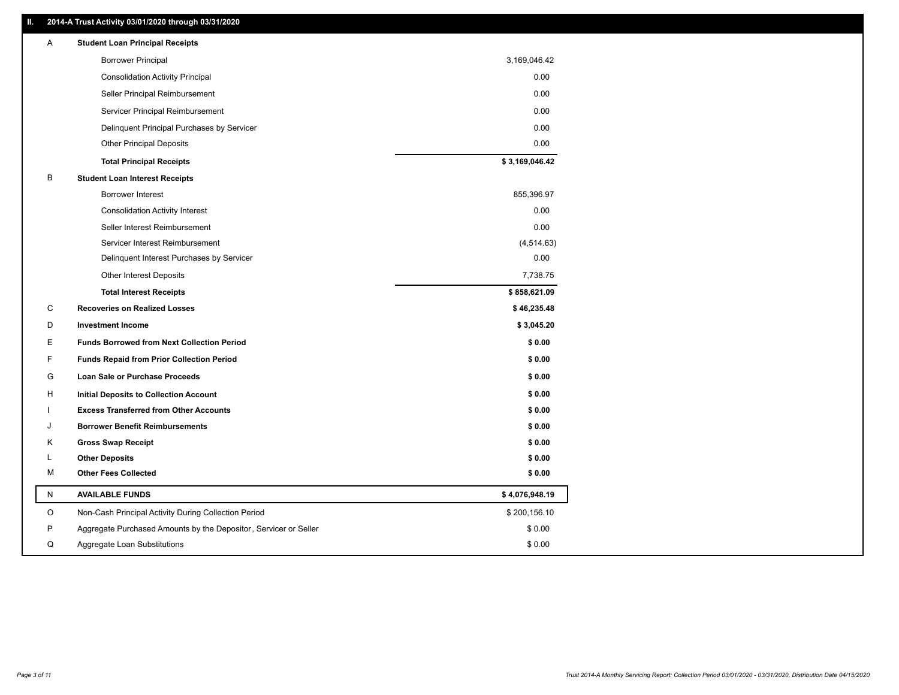### **II. 2014-A Trust Activity 03/01/2020 through 03/31/2020**

| Α            | <b>Student Loan Principal Receipts</b>                           |                |
|--------------|------------------------------------------------------------------|----------------|
|              | <b>Borrower Principal</b>                                        | 3,169,046.42   |
|              | <b>Consolidation Activity Principal</b>                          | 0.00           |
|              | Seller Principal Reimbursement                                   | 0.00           |
|              | Servicer Principal Reimbursement                                 | 0.00           |
|              | Delinquent Principal Purchases by Servicer                       | 0.00           |
|              | <b>Other Principal Deposits</b>                                  | 0.00           |
|              | <b>Total Principal Receipts</b>                                  | \$3,169,046.42 |
| В            | <b>Student Loan Interest Receipts</b>                            |                |
|              | <b>Borrower Interest</b>                                         | 855,396.97     |
|              | <b>Consolidation Activity Interest</b>                           | 0.00           |
|              | Seller Interest Reimbursement                                    | 0.00           |
|              | Servicer Interest Reimbursement                                  | (4, 514.63)    |
|              | Delinquent Interest Purchases by Servicer                        | 0.00           |
|              | Other Interest Deposits                                          | 7,738.75       |
|              | <b>Total Interest Receipts</b>                                   | \$858,621.09   |
| C            | <b>Recoveries on Realized Losses</b>                             | \$46,235.48    |
| D            | <b>Investment Income</b>                                         | \$3,045.20     |
| E.           | <b>Funds Borrowed from Next Collection Period</b>                | \$0.00         |
| F            | <b>Funds Repaid from Prior Collection Period</b>                 | \$0.00         |
| G            | Loan Sale or Purchase Proceeds                                   | \$0.00         |
| H            | <b>Initial Deposits to Collection Account</b>                    | \$0.00         |
|              | <b>Excess Transferred from Other Accounts</b>                    | \$0.00         |
| J            | <b>Borrower Benefit Reimbursements</b>                           | \$0.00         |
| Κ            | <b>Gross Swap Receipt</b>                                        | \$0.00         |
| L            | <b>Other Deposits</b>                                            | \$0.00         |
| М            | <b>Other Fees Collected</b>                                      | \$0.00         |
| $\mathsf{N}$ | <b>AVAILABLE FUNDS</b>                                           | \$4,076,948.19 |
| $\mathsf O$  | Non-Cash Principal Activity During Collection Period             | \$200,156.10   |
| P            | Aggregate Purchased Amounts by the Depositor, Servicer or Seller | \$0.00         |
| Q            | Aggregate Loan Substitutions                                     | \$0.00         |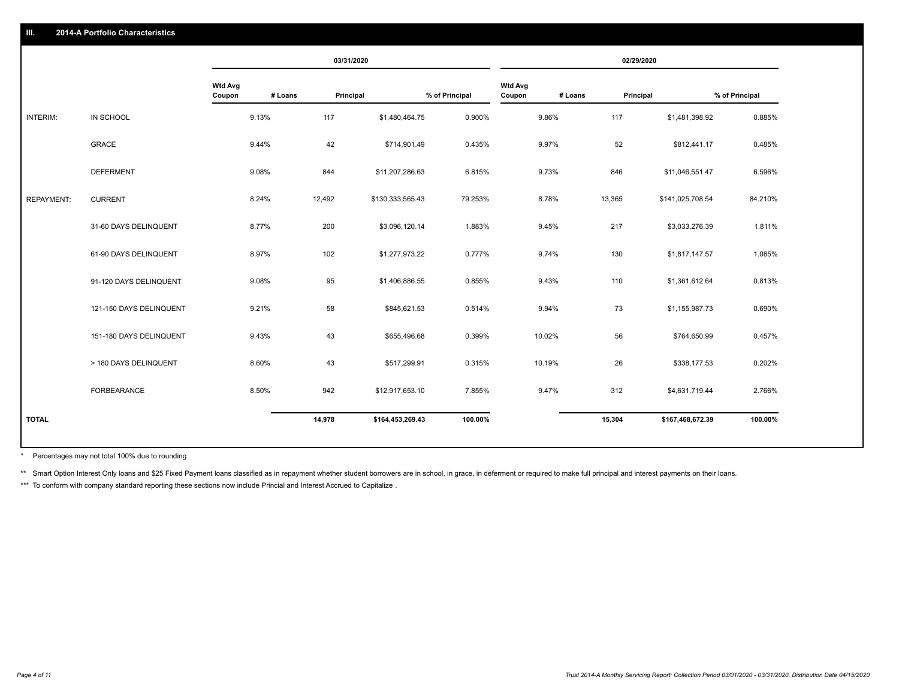|                   |                         |                          | 03/31/2020           |                  |                |                                     |           | 02/29/2020       |                |
|-------------------|-------------------------|--------------------------|----------------------|------------------|----------------|-------------------------------------|-----------|------------------|----------------|
|                   |                         | <b>Wtd Avg</b><br>Coupon | # Loans<br>Principal |                  | % of Principal | <b>Wtd Avg</b><br>Coupon<br># Loans | Principal |                  | % of Principal |
| INTERIM:          | IN SCHOOL               | 9.13%                    | 117                  | \$1,480,464.75   | 0.900%         | 9.86%                               | 117       | \$1,481,398.92   | 0.885%         |
|                   | <b>GRACE</b>            | 9.44%                    | 42                   | \$714,901.49     | 0.435%         | 9.97%                               | 52        | \$812,441.17     | 0.485%         |
|                   | <b>DEFERMENT</b>        | 9.08%                    | 844                  | \$11,207,286.63  | 6.815%         | 9.73%                               | 846       | \$11,046,551.47  | 6.596%         |
| <b>REPAYMENT:</b> | <b>CURRENT</b>          | 8.24%                    | 12,492               | \$130,333,565.43 | 79.253%        | 8.78%                               | 13,365    | \$141,025,708.54 | 84.210%        |
|                   | 31-60 DAYS DELINQUENT   | 8.77%                    | 200                  | \$3,096,120.14   | 1.883%         | 9.45%                               | 217       | \$3,033,276.39   | 1.811%         |
|                   | 61-90 DAYS DELINQUENT   | 8.97%                    | 102                  | \$1,277,973.22   | 0.777%         | 9.74%                               | 130       | \$1,817,147.57   | 1.085%         |
|                   | 91-120 DAYS DELINQUENT  | 9.08%                    | 95                   | \$1,406,886.55   | 0.855%         | 9.43%                               | 110       | \$1,361,612.64   | 0.813%         |
|                   | 121-150 DAYS DELINQUENT | 9.21%                    | 58                   | \$845,621.53     | 0.514%         | 9.94%                               | 73        | \$1,155,987.73   | 0.690%         |
|                   | 151-180 DAYS DELINQUENT | 9.43%                    | 43                   | \$655,496.68     | 0.399%         | 10.02%                              | 56        | \$764,650.99     | 0.457%         |
|                   | > 180 DAYS DELINQUENT   | 8.60%                    | 43                   | \$517,299.91     | 0.315%         | 10.19%                              | 26        | \$338,177.53     | 0.202%         |
|                   | FORBEARANCE             | 8.50%                    | 942                  | \$12,917,653.10  | 7.855%         | 9.47%                               | 312       | \$4,631,719.44   | 2.766%         |
| <b>TOTAL</b>      |                         |                          | 14,978               | \$164,453,269.43 | 100.00%        |                                     | 15,304    | \$167,468,672.39 | 100.00%        |

Percentages may not total 100% due to rounding \*

\*\* Smart Option Interest Only loans and \$25 Fixed Payment loans classified as in repayment whether student borrowers are in school, in grace, in deferment or required to make full principal and interest payments on their l

\*\*\* To conform with company standard reporting these sections now include Princial and Interest Accrued to Capitalize.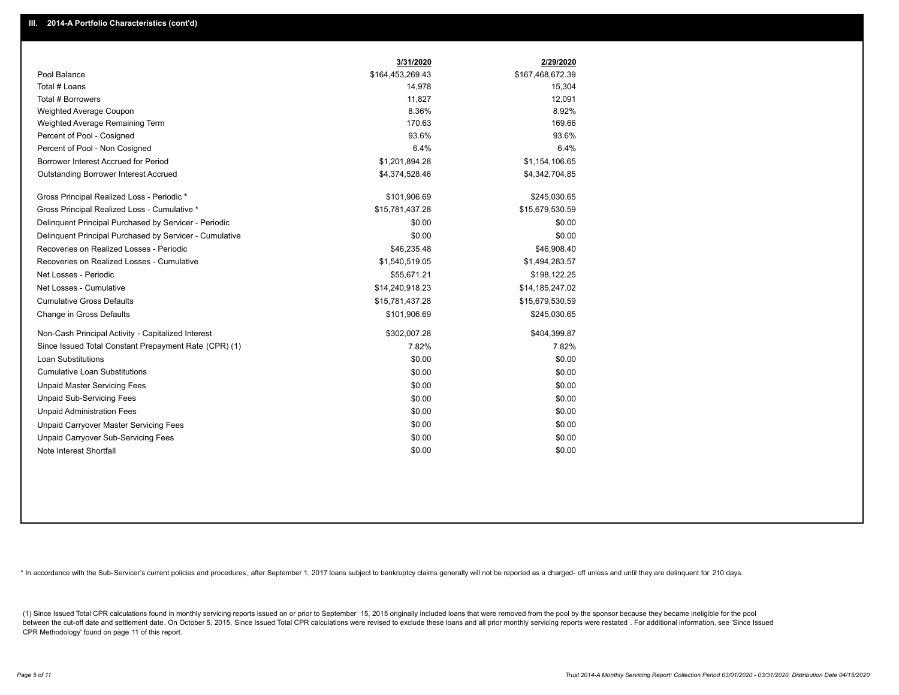|                                                         | 3/31/2020        | 2/29/2020        |
|---------------------------------------------------------|------------------|------------------|
| Pool Balance                                            | \$164,453,269.43 | \$167,468,672.39 |
| Total # Loans                                           | 14,978           | 15,304           |
| Total # Borrowers                                       | 11,827           | 12,091           |
| Weighted Average Coupon                                 | 8.36%            | 8.92%            |
| Weighted Average Remaining Term                         | 170.63           | 169.66           |
| Percent of Pool - Cosigned                              | 93.6%            | 93.6%            |
| Percent of Pool - Non Cosigned                          | 6.4%             | 6.4%             |
| Borrower Interest Accrued for Period                    | \$1,201,894.28   | \$1,154,106.65   |
| Outstanding Borrower Interest Accrued                   | \$4,374,528.46   | \$4,342,704.85   |
| Gross Principal Realized Loss - Periodic *              | \$101,906.69     | \$245,030.65     |
| Gross Principal Realized Loss - Cumulative *            | \$15,781,437.28  | \$15,679,530.59  |
| Delinquent Principal Purchased by Servicer - Periodic   | \$0.00           | \$0.00           |
| Delinguent Principal Purchased by Servicer - Cumulative | \$0.00           | \$0.00           |
| Recoveries on Realized Losses - Periodic                | \$46,235.48      | \$46,908.40      |
| Recoveries on Realized Losses - Cumulative              | \$1,540,519.05   | \$1,494,283.57   |
| Net Losses - Periodic                                   | \$55,671.21      | \$198,122.25     |
| Net Losses - Cumulative                                 | \$14,240,918.23  | \$14,185,247.02  |
| <b>Cumulative Gross Defaults</b>                        | \$15,781,437.28  | \$15,679,530.59  |
| Change in Gross Defaults                                | \$101,906.69     | \$245,030.65     |
| Non-Cash Principal Activity - Capitalized Interest      | \$302,007.28     | \$404,399.87     |
| Since Issued Total Constant Prepayment Rate (CPR) (1)   | 7.82%            | 7.82%            |
| Loan Substitutions                                      | \$0.00           | \$0.00           |
| <b>Cumulative Loan Substitutions</b>                    | \$0.00           | \$0.00           |
| <b>Unpaid Master Servicing Fees</b>                     | \$0.00           | \$0.00           |
| <b>Unpaid Sub-Servicing Fees</b>                        | \$0.00           | \$0.00           |
| <b>Unpaid Administration Fees</b>                       | \$0.00           | \$0.00           |
| Unpaid Carryover Master Servicing Fees                  | \$0.00           | \$0.00           |
| Unpaid Carryover Sub-Servicing Fees                     | \$0.00           | \$0.00           |
| Note Interest Shortfall                                 | \$0.00           | \$0.00           |

\* In accordance with the Sub-Servicer's current policies and procedures, after September 1, 2017 loans subject to bankruptcy claims generally will not be reported as a charged- off unless and until they are delinquent for

(1) Since Issued Total CPR calculations found in monthly servicing reports issued on or prior to September 15, 2015 originally included loans that were removed from the pool by the sponsor because they became ineligible fo between the cut-off date and settlement date. On October 5, 2015, Since Issued Total CPR calculations were revised to exclude these loans and all prior monthly servicing reports were restated. For additional information, s CPR Methodology' found on page 11 of this report.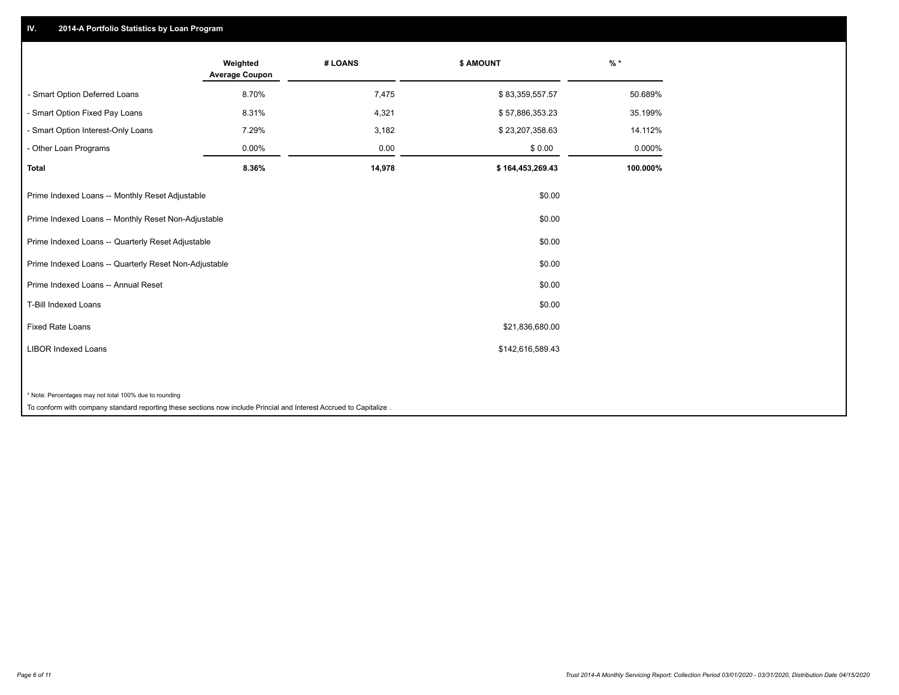## **IV. 2014-A Portfolio Statistics by Loan Program**

|                                                        | Weighted<br><b>Average Coupon</b> | # LOANS | \$ AMOUNT        | $\frac{9}{6}$ * |
|--------------------------------------------------------|-----------------------------------|---------|------------------|-----------------|
| - Smart Option Deferred Loans                          | 8.70%                             | 7,475   | \$83,359,557.57  | 50.689%         |
| - Smart Option Fixed Pay Loans                         | 8.31%                             | 4,321   | \$57,886,353.23  | 35.199%         |
| - Smart Option Interest-Only Loans                     | 7.29%                             | 3,182   | \$23,207,358.63  | 14.112%         |
| Other Loan Programs                                    | 0.00%                             | 0.00    | \$0.00           | 0.000%          |
| <b>Total</b>                                           | 8.36%                             | 14,978  | \$164,453,269.43 | 100.000%        |
| Prime Indexed Loans -- Monthly Reset Adjustable        |                                   |         | \$0.00           |                 |
| Prime Indexed Loans -- Monthly Reset Non-Adjustable    |                                   |         | \$0.00           |                 |
| Prime Indexed Loans -- Quarterly Reset Adjustable      |                                   |         | \$0.00           |                 |
| Prime Indexed Loans -- Quarterly Reset Non-Adjustable  |                                   |         | \$0.00           |                 |
| Prime Indexed Loans -- Annual Reset                    |                                   |         | \$0.00           |                 |
| <b>T-Bill Indexed Loans</b>                            |                                   |         | \$0.00           |                 |
| <b>Fixed Rate Loans</b>                                |                                   |         | \$21,836,680.00  |                 |
| <b>LIBOR Indexed Loans</b>                             |                                   |         | \$142,616,589.43 |                 |
|                                                        |                                   |         |                  |                 |
| * Note: Percentages may not total 100% due to rounding |                                   |         |                  |                 |

To conform with company standard reporting these sections now include Princial and Interest Accrued to Capitalize .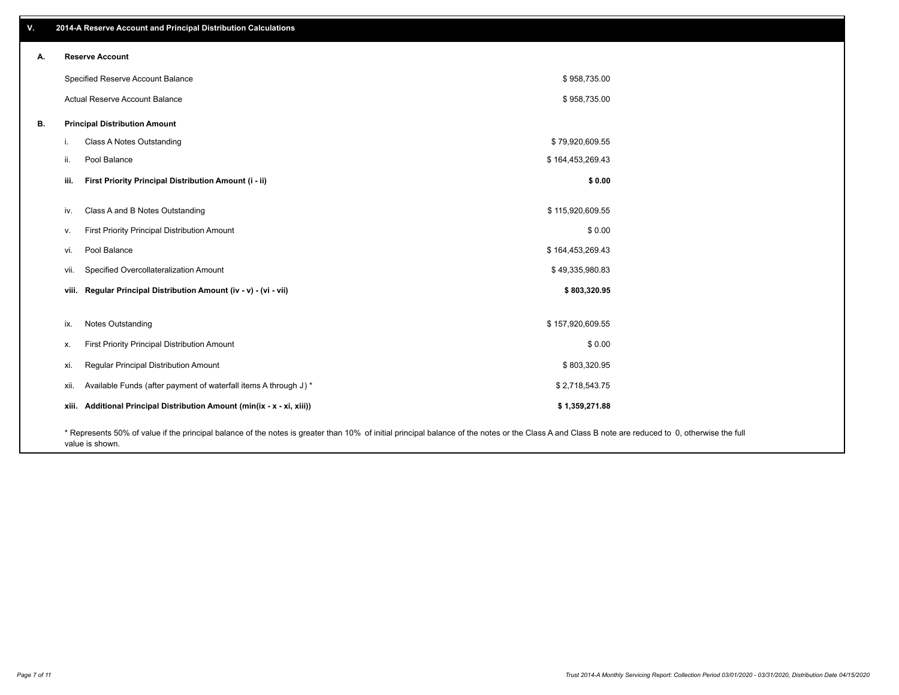| v. | 2014-A Reserve Account and Principal Distribution Calculations                                                                                                                                     |                  |  |
|----|----------------------------------------------------------------------------------------------------------------------------------------------------------------------------------------------------|------------------|--|
| А. | <b>Reserve Account</b>                                                                                                                                                                             |                  |  |
|    | Specified Reserve Account Balance                                                                                                                                                                  | \$958,735.00     |  |
|    | Actual Reserve Account Balance                                                                                                                                                                     | \$958,735.00     |  |
| В. | <b>Principal Distribution Amount</b>                                                                                                                                                               |                  |  |
|    | Class A Notes Outstanding<br>i.                                                                                                                                                                    | \$79,920,609.55  |  |
|    | Pool Balance<br>ii.                                                                                                                                                                                | \$164,453,269.43 |  |
|    | First Priority Principal Distribution Amount (i - ii)<br>iii.                                                                                                                                      | \$0.00           |  |
|    | Class A and B Notes Outstanding<br>iv.                                                                                                                                                             | \$115,920,609.55 |  |
|    | First Priority Principal Distribution Amount<br>v.                                                                                                                                                 | \$0.00           |  |
|    | Pool Balance<br>vi.                                                                                                                                                                                | \$164,453,269.43 |  |
|    | Specified Overcollateralization Amount<br>vii.                                                                                                                                                     | \$49,335,980.83  |  |
|    | viii. Regular Principal Distribution Amount (iv - v) - (vi - vii)                                                                                                                                  | \$803,320.95     |  |
|    |                                                                                                                                                                                                    |                  |  |
|    | Notes Outstanding<br>ix.                                                                                                                                                                           | \$157,920,609.55 |  |
|    | First Priority Principal Distribution Amount<br>х.                                                                                                                                                 | \$0.00           |  |
|    | Regular Principal Distribution Amount<br>xi.                                                                                                                                                       | \$803,320.95     |  |
|    | Available Funds (after payment of waterfall items A through J) *<br>xii.                                                                                                                           | \$2,718,543.75   |  |
|    | xiii. Additional Principal Distribution Amount (min(ix - x - xi, xiii))                                                                                                                            | \$1,359,271.88   |  |
|    | * Represents 50% of value if the principal balance of the notes is greater than 10% of initial principal balance of the notes or the Class A and Class B note are reduced to 0, otherwise the full |                  |  |

value is shown.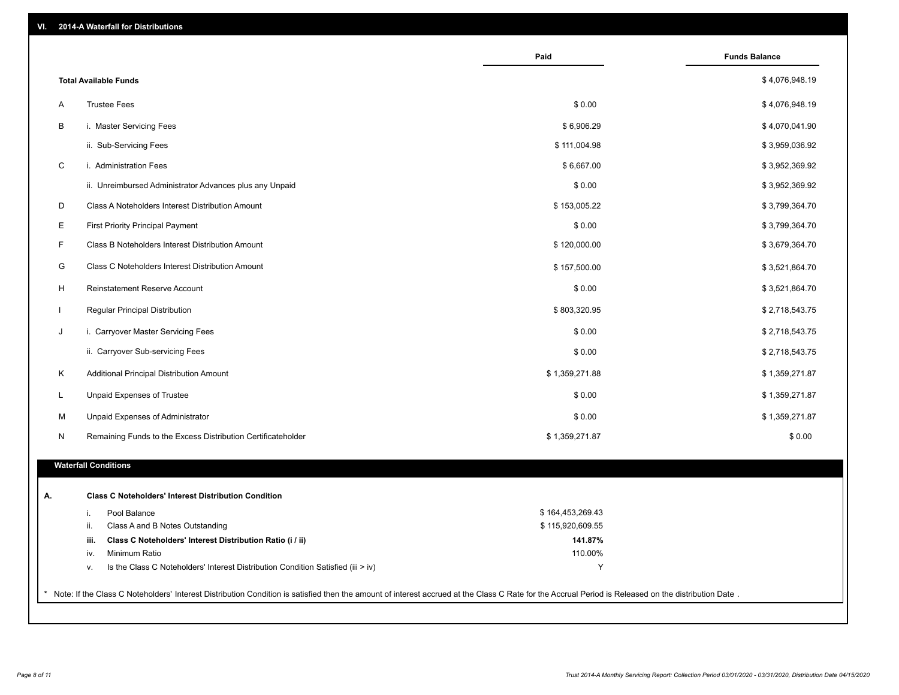|              |                                                                                                                                                                                                     | Paid             | <b>Funds Balance</b> |
|--------------|-----------------------------------------------------------------------------------------------------------------------------------------------------------------------------------------------------|------------------|----------------------|
|              | <b>Total Available Funds</b>                                                                                                                                                                        |                  | \$4,076,948.19       |
| A            | <b>Trustee Fees</b>                                                                                                                                                                                 | \$0.00           | \$4,076,948.19       |
| B            | i. Master Servicing Fees                                                                                                                                                                            | \$6,906.29       | \$4,070,041.90       |
|              | ii. Sub-Servicing Fees                                                                                                                                                                              | \$111,004.98     | \$3,959,036.92       |
| $\mathsf C$  | i. Administration Fees                                                                                                                                                                              | \$6,667.00       | \$3,952,369.92       |
|              | ii. Unreimbursed Administrator Advances plus any Unpaid                                                                                                                                             | \$0.00           | \$3,952,369.92       |
| D            | Class A Noteholders Interest Distribution Amount                                                                                                                                                    | \$153,005.22     | \$3,799,364.70       |
| Е            | <b>First Priority Principal Payment</b>                                                                                                                                                             | \$0.00           | \$3,799,364.70       |
| F            | Class B Noteholders Interest Distribution Amount                                                                                                                                                    | \$120,000.00     | \$3,679,364.70       |
| G            | Class C Noteholders Interest Distribution Amount                                                                                                                                                    | \$157,500.00     | \$3,521,864.70       |
| H            | Reinstatement Reserve Account                                                                                                                                                                       | \$0.00           | \$3,521,864.70       |
| $\mathbf{L}$ | Regular Principal Distribution                                                                                                                                                                      | \$803,320.95     | \$2,718,543.75       |
| J            | i. Carryover Master Servicing Fees                                                                                                                                                                  | \$0.00           | \$2,718,543.75       |
|              | ii. Carryover Sub-servicing Fees                                                                                                                                                                    | \$0.00           | \$2,718,543.75       |
| Κ            | Additional Principal Distribution Amount                                                                                                                                                            | \$1,359,271.88   | \$1,359,271.87       |
| L.           | Unpaid Expenses of Trustee                                                                                                                                                                          | \$0.00           | \$1,359,271.87       |
|              |                                                                                                                                                                                                     |                  |                      |
| м            | Unpaid Expenses of Administrator                                                                                                                                                                    | \$0.00           | \$1,359,271.87       |
| N            | Remaining Funds to the Excess Distribution Certificateholder                                                                                                                                        | \$1,359,271.87   | \$0.00               |
|              | <b>Waterfall Conditions</b>                                                                                                                                                                         |                  |                      |
| А.           | <b>Class C Noteholders' Interest Distribution Condition</b>                                                                                                                                         |                  |                      |
|              | Pool Balance<br>i.                                                                                                                                                                                  | \$164,453,269.43 |                      |
|              | Class A and B Notes Outstanding<br>ii.                                                                                                                                                              | \$115,920,609.55 |                      |
|              | Class C Noteholders' Interest Distribution Ratio (i / ii)<br>iii.                                                                                                                                   | 141.87%          |                      |
|              | Minimum Ratio<br>iv.                                                                                                                                                                                | 110.00%          |                      |
|              | Is the Class C Noteholders' Interest Distribution Condition Satisfied (iii > iv)<br>v.                                                                                                              | Y                |                      |
|              |                                                                                                                                                                                                     |                  |                      |
|              | Note: If the Class C Noteholders' Interest Distribution Condition is satisfied then the amount of interest accrued at the Class C Rate for the Accrual Period is Released on the distribution Date. |                  |                      |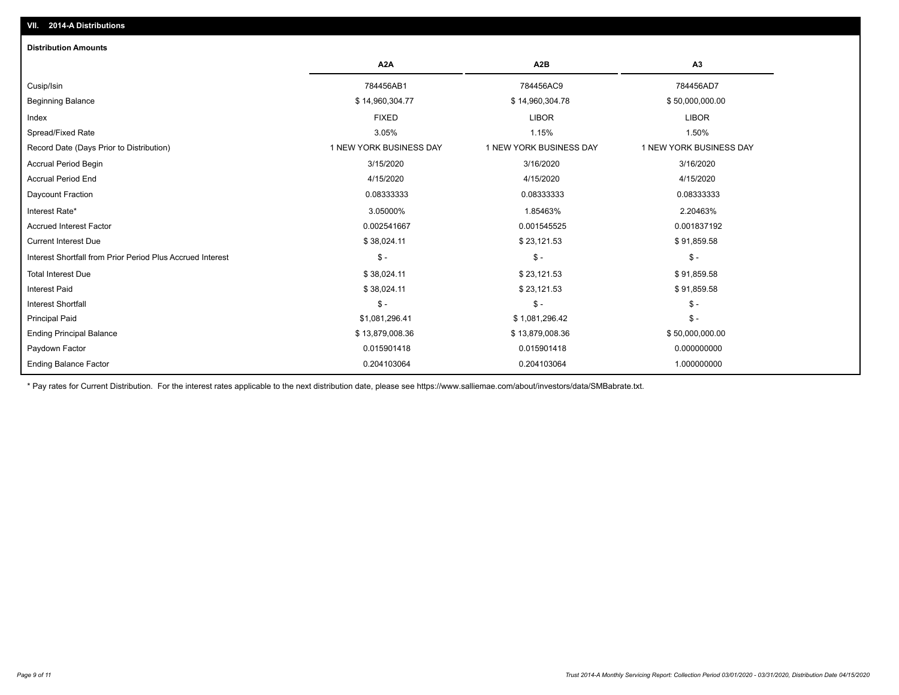| <b>Distribution Amounts</b>                                |                         |                         |                         |
|------------------------------------------------------------|-------------------------|-------------------------|-------------------------|
|                                                            | A <sub>2</sub> A        | A <sub>2</sub> B        | A3                      |
| Cusip/Isin                                                 | 784456AB1               | 784456AC9               | 784456AD7               |
| <b>Beginning Balance</b>                                   | \$14,960,304.77         | \$14,960,304.78         | \$50,000,000.00         |
| Index                                                      | <b>FIXED</b>            | <b>LIBOR</b>            | <b>LIBOR</b>            |
| Spread/Fixed Rate                                          | 3.05%                   | 1.15%                   | 1.50%                   |
| Record Date (Days Prior to Distribution)                   | 1 NEW YORK BUSINESS DAY | 1 NEW YORK BUSINESS DAY | 1 NEW YORK BUSINESS DAY |
| Accrual Period Begin                                       | 3/15/2020               | 3/16/2020               | 3/16/2020               |
| <b>Accrual Period End</b>                                  | 4/15/2020               | 4/15/2020               | 4/15/2020               |
| Daycount Fraction                                          | 0.08333333              | 0.08333333              | 0.08333333              |
| Interest Rate*                                             | 3.05000%                | 1.85463%                | 2.20463%                |
| <b>Accrued Interest Factor</b>                             | 0.002541667             | 0.001545525             | 0.001837192             |
| <b>Current Interest Due</b>                                | \$38,024.11             | \$23,121.53             | \$91,859.58             |
| Interest Shortfall from Prior Period Plus Accrued Interest | $$ -$                   | $\mathsf{\$}$ -         | $\mathsf{\$}$ -         |
| <b>Total Interest Due</b>                                  | \$38,024.11             | \$23,121.53             | \$91,859.58             |
| <b>Interest Paid</b>                                       | \$38,024.11             | \$23,121.53             | \$91,859.58             |
| <b>Interest Shortfall</b>                                  | $$ -$                   | $$ -$                   | $\frac{1}{2}$ -         |
| <b>Principal Paid</b>                                      | \$1,081,296.41          | \$1,081,296.42          | $$ -$                   |
| <b>Ending Principal Balance</b>                            | \$13,879,008.36         | \$13,879,008.36         | \$50,000,000.00         |
| Paydown Factor                                             | 0.015901418             | 0.015901418             | 0.000000000             |
| <b>Ending Balance Factor</b>                               | 0.204103064             | 0.204103064             | 1.000000000             |

\* Pay rates for Current Distribution. For the interest rates applicable to the next distribution date, please see https://www.salliemae.com/about/investors/data/SMBabrate.txt.

**VII. 2014-A Distributions**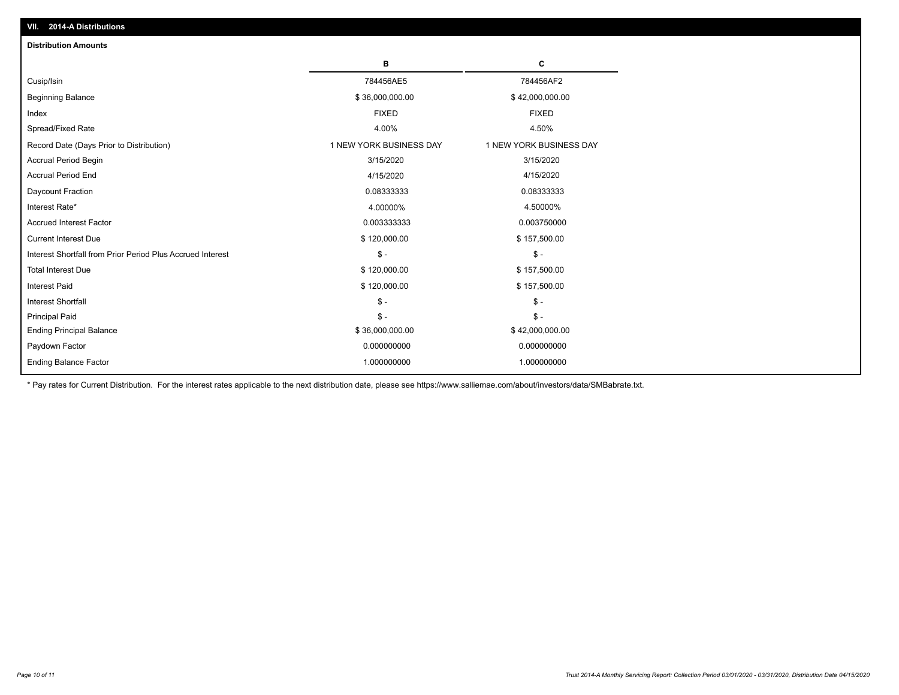| <b>Distribution Amounts</b>                                |                         |                         |
|------------------------------------------------------------|-------------------------|-------------------------|
|                                                            | в                       | С                       |
| Cusip/Isin                                                 | 784456AE5               | 784456AF2               |
| <b>Beginning Balance</b>                                   | \$36,000,000.00         | \$42,000,000.00         |
| Index                                                      | <b>FIXED</b>            | <b>FIXED</b>            |
| Spread/Fixed Rate                                          | 4.00%                   | 4.50%                   |
| Record Date (Days Prior to Distribution)                   | 1 NEW YORK BUSINESS DAY | 1 NEW YORK BUSINESS DAY |
| <b>Accrual Period Begin</b>                                | 3/15/2020               | 3/15/2020               |
| <b>Accrual Period End</b>                                  | 4/15/2020               | 4/15/2020               |
| Daycount Fraction                                          | 0.08333333              | 0.08333333              |
| Interest Rate*                                             | 4.00000%                | 4.50000%                |
| <b>Accrued Interest Factor</b>                             | 0.003333333             | 0.003750000             |
| <b>Current Interest Due</b>                                | \$120,000.00            | \$157,500.00            |
| Interest Shortfall from Prior Period Plus Accrued Interest | $\mathcal{S}$ -         | $\mathsf{\$}$ -         |
| <b>Total Interest Due</b>                                  | \$120,000.00            | \$157,500.00            |
| <b>Interest Paid</b>                                       | \$120,000.00            | \$157,500.00            |
| <b>Interest Shortfall</b>                                  | $\mathcal{S}$ -         | $\frac{1}{2}$           |
| <b>Principal Paid</b>                                      | $\mathsf{\$}$ -         | $\mathsf{\$}$ -         |
| <b>Ending Principal Balance</b>                            | \$36,000,000.00         | \$42,000,000.00         |
| Paydown Factor                                             | 0.000000000             | 0.000000000             |
| <b>Ending Balance Factor</b>                               | 1.000000000             | 1.000000000             |

\* Pay rates for Current Distribution. For the interest rates applicable to the next distribution date, please see https://www.salliemae.com/about/investors/data/SMBabrate.txt.

**VII. 2014-A Distributions**